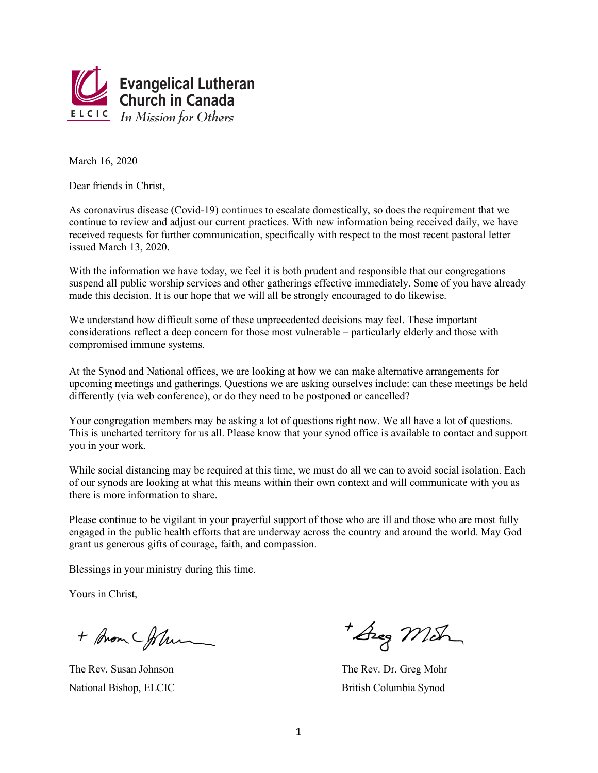

March 16, 2020

Dear friends in Christ.

As coronavirus disease (Covid-19) continues to escalate domestically, so does the requirement that we continue to review and adjust our current practices. With new information being received daily, we have received requests for further communication, specifically with respect to the most recent pastoral letter issued March 13, 2020.

With the information we have today, we feel it is both prudent and responsible that our congregations suspend all public worship services and other gatherings effective immediately. Some of you have already made this decision. It is our hope that we will all be strongly encouraged to do likewise.

We understand how difficult some of these unprecedented decisions may feel. These important considerations reflect a deep concern for those most vulnerable – particularly elderly and those with compromised immune systems.

At the Synod and National offices, we are looking at how we can make alternative arrangements for upcoming meetings and gatherings. Questions we are asking ourselves include: can these meetings be held differently (via web conference), or do they need to be postponed or cancelled?

Your congregation members may be asking a lot of questions right now. We all have a lot of questions. This is uncharted territory for us all. Please know that your synod office is available to contact and support you in your work.

While social distancing may be required at this time, we must do all we can to avoid social isolation. Each of our synods are looking at what this means within their own context and will communicate with you as there is more information to share.

Please continue to be vigilant in your prayerful support of those who are ill and those who are most fully engaged in the public health efforts that are underway across the country and around the world. May God grant us generous gifts of courage, faith, and compassion.

Blessings in your ministry during this time.

Yours in Christ.

+ Brom Chlum

The Rev. Susan Johnson National Bishop, ELCIC

Areg Mich

The Rev. Dr. Greg Mohr British Columbia Synod